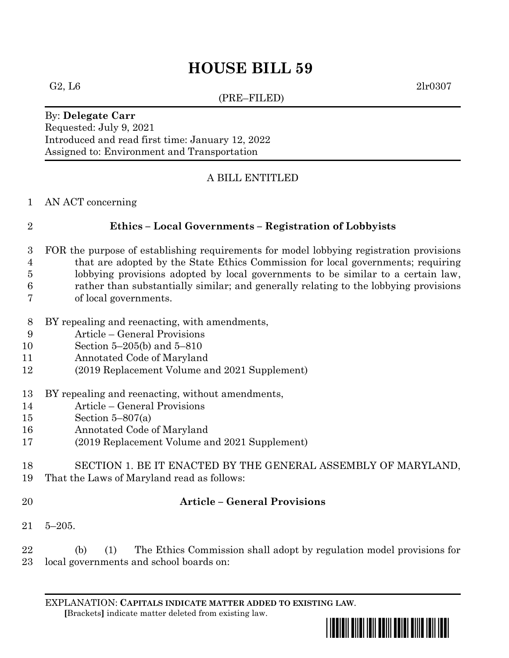# **HOUSE BILL 59**

(PRE–FILED)

G2, L6  $2\ln 0307$ 

#### By: **Delegate Carr** Requested: July 9, 2021 Introduced and read first time: January 12, 2022 Assigned to: Environment and Transportation

### A BILL ENTITLED

AN ACT concerning

#### **Ethics – Local Governments – Registration of Lobbyists**

- FOR the purpose of establishing requirements for model lobbying registration provisions
- that are adopted by the State Ethics Commission for local governments; requiring lobbying provisions adopted by local governments to be similar to a certain law,
- 
- rather than substantially similar; and generally relating to the lobbying provisions of local governments.
- BY repealing and reenacting, with amendments,
- Article General Provisions
- Section 5–205(b) and 5–810
- Annotated Code of Maryland
- (2019 Replacement Volume and 2021 Supplement)
- BY repealing and reenacting, without amendments,
- Article General Provisions
- Section 5–807(a)
- Annotated Code of Maryland
- (2019 Replacement Volume and 2021 Supplement)
- SECTION 1. BE IT ENACTED BY THE GENERAL ASSEMBLY OF MARYLAND, That the Laws of Maryland read as follows:
- 
- 

## **Article – General Provisions**

5–205.

 (b) (1) The Ethics Commission shall adopt by regulation model provisions for local governments and school boards on:

EXPLANATION: **CAPITALS INDICATE MATTER ADDED TO EXISTING LAW**.  **[**Brackets**]** indicate matter deleted from existing law.

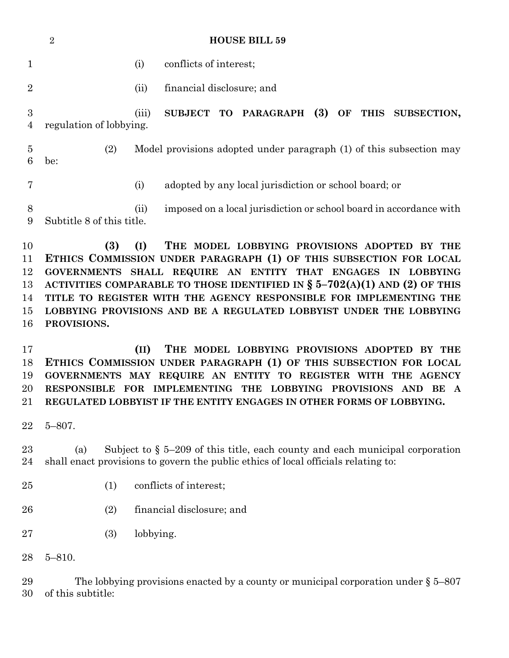|                     | ◢<br>HUUSE DILL 99        |       |                                                                                                                                                                                                            |
|---------------------|---------------------------|-------|------------------------------------------------------------------------------------------------------------------------------------------------------------------------------------------------------------|
|                     |                           | (i)   | conflicts of interest;                                                                                                                                                                                     |
| $\overline{2}$      |                           | (ii)  | financial disclosure; and                                                                                                                                                                                  |
| 3<br>4              | regulation of lobbying.   | (iii) | SUBJECT TO PARAGRAPH (3)<br>OF THIS SUBSECTION,                                                                                                                                                            |
| $\overline{5}$<br>6 | (2)<br>be:                |       | Model provisions adopted under paragraph (1) of this subsection may                                                                                                                                        |
|                     |                           | (i)   | adopted by any local jurisdiction or school board; or                                                                                                                                                      |
| 8<br>9              | Subtitle 8 of this title. | (ii)  | imposed on a local jurisdiction or school board in accordance with                                                                                                                                         |
| 10<br>11<br>12      | (3)<br><b>GOVERNMENTS</b> | (I)   | THE MODEL LOBBYING PROVISIONS ADOPTED<br><b>BY THE</b><br>ETHICS COMMISSION UNDER PARAGRAPH (1) OF THIS SUBSECTION FOR LOCAL<br>SHALL REQUIRE AN ENTITY<br><b>ENGAGES</b><br>THAT<br>IN<br><b>LOBBYING</b> |
|                     |                           |       |                                                                                                                                                                                                            |

**HOUSE BILL 59** 

 **ACTIVITIES COMPARABLE TO THOSE IDENTIFIED IN § 5–702(A)(1) AND (2) OF THIS TITLE TO REGISTER WITH THE AGENCY RESPONSIBLE FOR IMPLEMENTING THE LOBBYING PROVISIONS AND BE A REGULATED LOBBYIST UNDER THE LOBBYING PROVISIONS.**

 **(II) THE MODEL LOBBYING PROVISIONS ADOPTED BY THE ETHICS COMMISSION UNDER PARAGRAPH (1) OF THIS SUBSECTION FOR LOCAL GOVERNMENTS MAY REQUIRE AN ENTITY TO REGISTER WITH THE AGENCY RESPONSIBLE FOR IMPLEMENTING THE LOBBYING PROVISIONS AND BE A REGULATED LOBBYIST IF THE ENTITY ENGAGES IN OTHER FORMS OF LOBBYING.**

5–807.

 (a) Subject to § 5–209 of this title, each county and each municipal corporation shall enact provisions to govern the public ethics of local officials relating to:

- (1) conflicts of interest;
- (2) financial disclosure; and
- (3) lobbying.

5–810.

 The lobbying provisions enacted by a county or municipal corporation under § 5–807 of this subtitle: